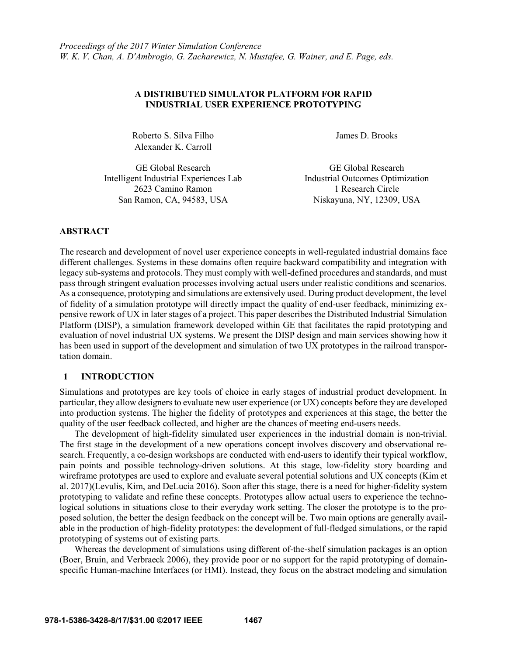### **A DISTRIBUTED SIMULATOR PLATFORM FOR RAPID INDUSTRIAL USER EXPERIENCE PROTOTYPING**

Roberto S. Silva Filho James D. Brooks Alexander K. Carroll

GE Global Research GE Global Research Intelligent Industrial Experiences Lab Industrial Outcomes Optimization 2623 Camino Ramon 1 Research Circle San Ramon, CA, 94583, USA Niskayuna, NY, 12309, USA

#### **ABSTRACT**

The research and development of novel user experience concepts in well-regulated industrial domains face different challenges. Systems in these domains often require backward compatibility and integration with legacy sub-systems and protocols. They must comply with well-defined procedures and standards, and must pass through stringent evaluation processes involving actual users under realistic conditions and scenarios. As a consequence, prototyping and simulations are extensively used. During product development, the level of fidelity of a simulation prototype will directly impact the quality of end-user feedback, minimizing expensive rework of UX in later stages of a project. This paper describes the Distributed Industrial Simulation Platform (DISP), a simulation framework developed within GE that facilitates the rapid prototyping and evaluation of novel industrial UX systems. We present the DISP design and main services showing how it has been used in support of the development and simulation of two UX prototypes in the railroad transportation domain.

#### **1 INTRODUCTION**

Simulations and prototypes are key tools of choice in early stages of industrial product development. In particular, they allow designers to evaluate new user experience (or UX) concepts before they are developed into production systems. The higher the fidelity of prototypes and experiences at this stage, the better the quality of the user feedback collected, and higher are the chances of meeting end-users needs.

The development of high-fidelity simulated user experiences in the industrial domain is non-trivial. The first stage in the development of a new operations concept involves discovery and observational research. Frequently, a co-design workshops are conducted with end-users to identify their typical workflow, pain points and possible technology-driven solutions. At this stage, low-fidelity story boarding and wireframe prototypes are used to explore and evaluate several potential solutions and UX concepts (Kim et al. 2017)(Levulis, Kim, and DeLucia 2016). Soon after this stage, there is a need for higher-fidelity system prototyping to validate and refine these concepts. Prototypes allow actual users to experience the technological solutions in situations close to their everyday work setting. The closer the prototype is to the proposed solution, the better the design feedback on the concept will be. Two main options are generally available in the production of high-fidelity prototypes: the development of full-fledged simulations, or the rapid prototyping of systems out of existing parts.

Whereas the development of simulations using different of-the-shelf simulation packages is an option (Boer, Bruin, and Verbraeck 2006), they provide poor or no support for the rapid prototyping of domainspecific Human-machine Interfaces (or HMI). Instead, they focus on the abstract modeling and simulation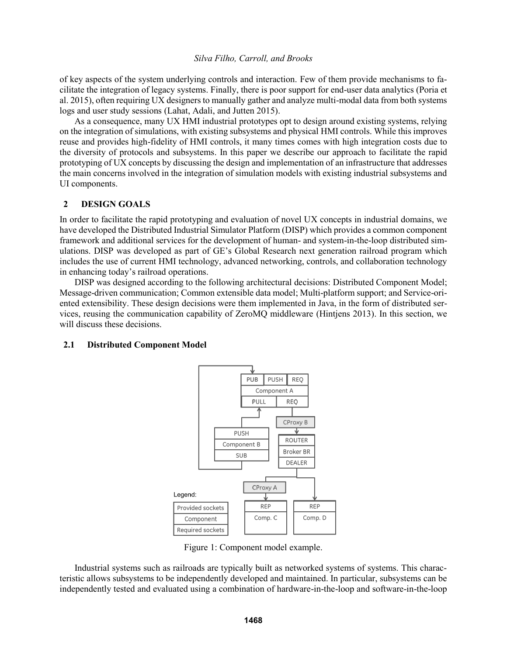of key aspects of the system underlying controls and interaction. Few of them provide mechanisms to facilitate the integration of legacy systems. Finally, there is poor support for end-user data analytics (Poria et al. 2015), often requiring UX designers to manually gather and analyze multi-modal data from both systems logs and user study sessions (Lahat, Adali, and Jutten 2015).

As a consequence, many UX HMI industrial prototypes opt to design around existing systems, relying on the integration of simulations, with existing subsystems and physical HMI controls. While this improves reuse and provides high-fidelity of HMI controls, it many times comes with high integration costs due to the diversity of protocols and subsystems. In this paper we describe our approach to facilitate the rapid prototyping of UX concepts by discussing the design and implementation of an infrastructure that addresses the main concerns involved in the integration of simulation models with existing industrial subsystems and UI components.

## **2 DESIGN GOALS**

In order to facilitate the rapid prototyping and evaluation of novel UX concepts in industrial domains, we have developed the Distributed Industrial Simulator Platform (DISP) which provides a common component framework and additional services for the development of human- and system-in-the-loop distributed simulations. DISP was developed as part of GE's Global Research next generation railroad program which includes the use of current HMI technology, advanced networking, controls, and collaboration technology in enhancing today's railroad operations.

DISP was designed according to the following architectural decisions: Distributed Component Model; Message-driven communication; Common extensible data model; Multi-platform support; and Service-oriented extensibility. These design decisions were them implemented in Java, in the form of distributed services, reusing the communication capability of ZeroMQ middleware (Hintjens 2013). In this section, we will discuss these decisions.

#### **2.1 Distributed Component Model**



Figure 1: Component model example.

Industrial systems such as railroads are typically built as networked systems of systems. This characteristic allows subsystems to be independently developed and maintained. In particular, subsystems can be independently tested and evaluated using a combination of hardware-in-the-loop and software-in-the-loop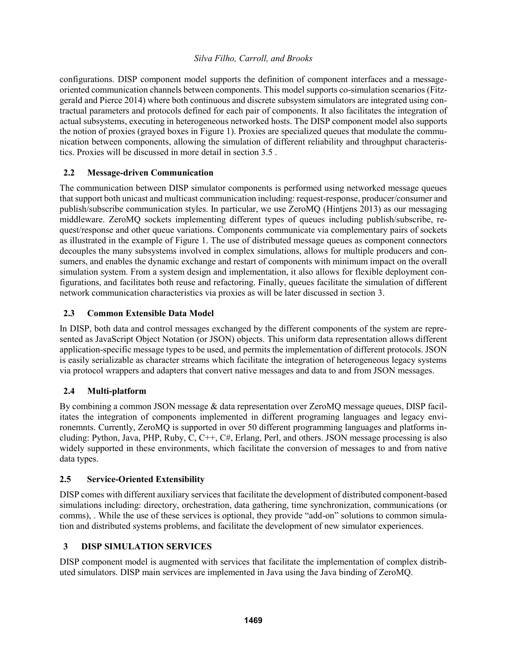configurations. DISP component model supports the definition of component interfaces and a messageoriented communication channels between components. This model supports co-simulation scenarios (Fitzgerald and Pierce 2014) where both continuous and discrete subsystem simulators are integrated using contractual parameters and protocols defined for each pair of components. It also facilitates the integration of actual subsystems, executing in heterogeneous networked hosts. The DISP component model also supports the notion of proxies (grayed boxes in Figure 1). Proxies are specialized queues that modulate the communication between components, allowing the simulation of different reliability and throughput characteristics. Proxies will be discussed in more detail in section 3.5 .

# **2.2 Message-driven Communication**

The communication between DISP simulator components is performed using networked message queues that support both unicast and multicast communication including: request-response, producer/consumer and publish/subscribe communication styles. In particular, we use ZeroMQ (Hintjens 2013) as our messaging middleware. ZeroMQ sockets implementing different types of queues including publish/subscribe, request/response and other queue variations. Components communicate via complementary pairs of sockets as illustrated in the example of Figure 1. The use of distributed message queues as component connectors decouples the many subsystems involved in complex simulations, allows for multiple producers and consumers, and enables the dynamic exchange and restart of components with minimum impact on the overall simulation system. From a system design and implementation, it also allows for flexible deployment configurations, and facilitates both reuse and refactoring. Finally, queues facilitate the simulation of different network communication characteristics via proxies as will be later discussed in section 3.

# **2.3 Common Extensible Data Model**

In DISP, both data and control messages exchanged by the different components of the system are represented as JavaScript Object Notation (or JSON) objects. This uniform data representation allows different application-specific message types to be used, and permits the implementation of different protocols. JSON is easily serializable as character streams which facilitate the integration of heterogeneous legacy systems via protocol wrappers and adapters that convert native messages and data to and from JSON messages.

# **2.4 Multi-platform**

By combining a common JSON message & data representation over ZeroMQ message queues, DISP facilitates the integration of components implemented in different programing languages and legacy environemnts. Currently, ZeroMQ is supported in over 50 different programming languages and platforms including: Python, Java, PHP, Ruby, C, C++, C#, Erlang, Perl, and others. JSON message processing is also widely supported in these environments, which facilitate the conversion of messages to and from native data types.

# **2.5 Service-Oriented Extensibility**

DISP comes with different auxiliary services that facilitate the development of distributed component-based simulations including: directory, orchestration, data gathering, time synchronization, communications (or comms), . While the use of these services is optional, they provide "add-on" solutions to common simulation and distributed systems problems, and facilitate the development of new simulator experiences.

# **3 DISP SIMULATION SERVICES**

DISP component model is augmented with services that facilitate the implementation of complex distributed simulators. DISP main services are implemented in Java using the Java binding of ZeroMQ.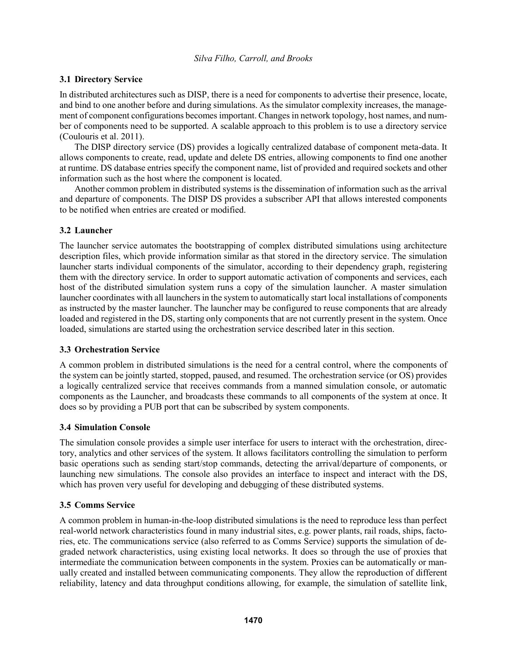# **3.1 Directory Service**

In distributed architectures such as DISP, there is a need for components to advertise their presence, locate, and bind to one another before and during simulations. As the simulator complexity increases, the management of component configurations becomes important. Changes in network topology, host names, and number of components need to be supported. A scalable approach to this problem is to use a directory service (Coulouris et al. 2011).

The DISP directory service (DS) provides a logically centralized database of component meta-data. It allows components to create, read, update and delete DS entries, allowing components to find one another at runtime. DS database entries specify the component name, list of provided and required sockets and other information such as the host where the component is located.

Another common problem in distributed systems is the dissemination of information such as the arrival and departure of components. The DISP DS provides a subscriber API that allows interested components to be notified when entries are created or modified.

## **3.2 Launcher**

The launcher service automates the bootstrapping of complex distributed simulations using architecture description files, which provide information similar as that stored in the directory service. The simulation launcher starts individual components of the simulator, according to their dependency graph, registering them with the directory service. In order to support automatic activation of components and services, each host of the distributed simulation system runs a copy of the simulation launcher. A master simulation launcher coordinates with all launchers in the system to automatically start local installations of components as instructed by the master launcher. The launcher may be configured to reuse components that are already loaded and registered in the DS, starting only components that are not currently present in the system. Once loaded, simulations are started using the orchestration service described later in this section.

## **3.3 Orchestration Service**

A common problem in distributed simulations is the need for a central control, where the components of the system can be jointly started, stopped, paused, and resumed. The orchestration service (or OS) provides a logically centralized service that receives commands from a manned simulation console, or automatic components as the Launcher, and broadcasts these commands to all components of the system at once. It does so by providing a PUB port that can be subscribed by system components.

## **3.4 Simulation Console**

The simulation console provides a simple user interface for users to interact with the orchestration, directory, analytics and other services of the system. It allows facilitators controlling the simulation to perform basic operations such as sending start/stop commands, detecting the arrival/departure of components, or launching new simulations. The console also provides an interface to inspect and interact with the DS, which has proven very useful for developing and debugging of these distributed systems.

## **3.5 Comms Service**

A common problem in human-in-the-loop distributed simulations is the need to reproduce less than perfect real-world network characteristics found in many industrial sites, e.g. power plants, rail roads, ships, factories, etc. The communications service (also referred to as Comms Service) supports the simulation of degraded network characteristics, using existing local networks. It does so through the use of proxies that intermediate the communication between components in the system. Proxies can be automatically or manually created and installed between communicating components. They allow the reproduction of different reliability, latency and data throughput conditions allowing, for example, the simulation of satellite link,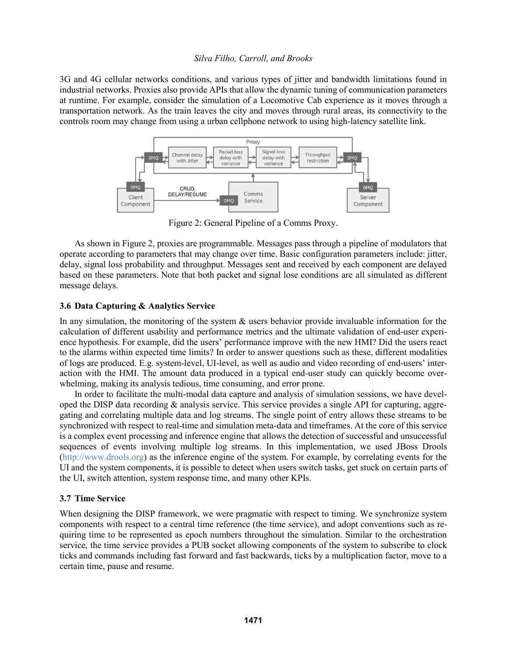3G and 4G cellular networks conditions, and various types of jitter and bandwidth limitations found in industrial networks. Proxies also provide APIs that allow the dynamic tuning of communication parameters at runtime. For example, consider the simulation of a Locomotive Cab experience as it moves through a transportation network. As the train leaves the city and moves through rural areas, its connectivity to the controls room may change from using a urban cellphone network to using high-latency satellite link.



Figure 2: General Pipeline of a Comms Proxy.

As shown in Figure 2, proxies are programmable. Messages pass through a pipeline of modulators that operate according to parameters that may change over time. Basic configuration parameters include: jitter, delay, signal loss probability and throughput. Messages sent and received by each component are delayed based on these parameters. Note that both packet and signal lose conditions are all simulated as different message delays.

## **3.6 Data Capturing & Analytics Service**

In any simulation, the monitoring of the system  $\&$  users behavior provide invaluable information for the calculation of different usability and performance metrics and the ultimate validation of end-user experience hypothesis. For example, did the users' performance improve with the new HMI? Did the users react to the alarms within expected time limits? In order to answer questions such as these, different modalities of logs are produced. E.g. system-level, UI-level, as well as audio and video recording of end-users' interaction with the HMI. The amount data produced in a typical end-user study can quickly become overwhelming, making its analysis tedious, time consuming, and error prone.

In order to facilitate the multi-modal data capture and analysis of simulation sessions, we have developed the DISP data recording & analysis service. This service provides a single API for capturing, aggregating and correlating multiple data and log streams. The single point of entry allows these streams to be synchronized with respect to real-time and simulation meta-data and timeframes. At the core of this service is a complex event processing and inference engine that allows the detection of successful and unsuccessful sequences of events involving multiple log streams. In this implementation, we used JBoss Drools (http://www.drools.org) as the inference engine of the system. For example, by correlating events for the UI and the system components, it is possible to detect when users switch tasks, get stuck on certain parts of the UI, switch attention, system response time, and many other KPIs.

## **3.7 Time Service**

When designing the DISP framework, we were pragmatic with respect to timing. We synchronize system components with respect to a central time reference (the time service), and adopt conventions such as requiring time to be represented as epoch numbers throughout the simulation. Similar to the orchestration service, the time service provides a PUB socket allowing components of the system to subscribe to clock ticks and commands including fast forward and fast backwards, ticks by a multiplication factor, move to a certain time, pause and resume.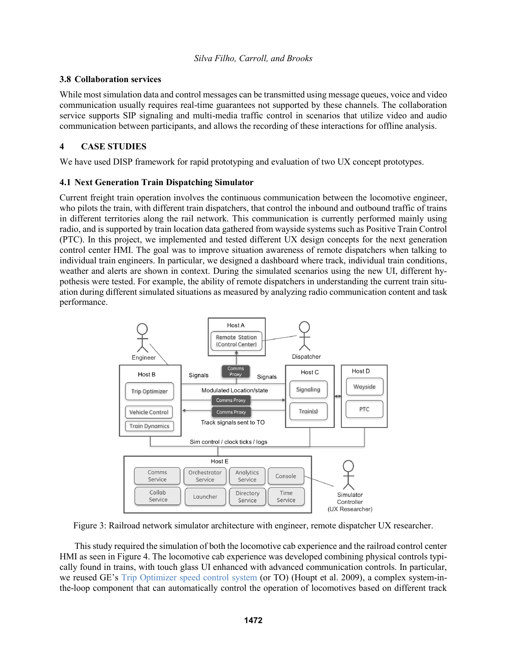## **3.8 Collaboration services**

While most simulation data and control messages can be transmitted using message queues, voice and video communication usually requires real-time guarantees not supported by these channels. The collaboration service supports SIP signaling and multi-media traffic control in scenarios that utilize video and audio communication between participants, and allows the recording of these interactions for offline analysis.

## **4 CASE STUDIES**

We have used DISP framework for rapid prototyping and evaluation of two UX concept prototypes.

## **4.1 Next Generation Train Dispatching Simulator**

Current freight train operation involves the continuous communication between the locomotive engineer, who pilots the train, with different train dispatchers, that control the inbound and outbound traffic of trains in different territories along the rail network. This communication is currently performed mainly using radio, and is supported by train location data gathered from wayside systems such as Positive Train Control (PTC). In this project, we implemented and tested different UX design concepts for the next generation control center HMI. The goal was to improve situation awareness of remote dispatchers when talking to individual train engineers. In particular, we designed a dashboard where track, individual train conditions, weather and alerts are shown in context. During the simulated scenarios using the new UI, different hypothesis were tested. For example, the ability of remote dispatchers in understanding the current train situation during different simulated situations as measured by analyzing radio communication content and task performance.



Figure 3: Railroad network simulator architecture with engineer, remote dispatcher UX researcher.

This study required the simulation of both the locomotive cab experience and the railroad control center HMI as seen in Figure 4. The locomotive cab experience was developed combining physical controls typically found in trains, with touch glass UI enhanced with advanced communication controls. In particular, we reused GE's Trip Optimizer speed control system (or TO) (Houpt et al. 2009), a complex system-inthe-loop component that can automatically control the operation of locomotives based on different track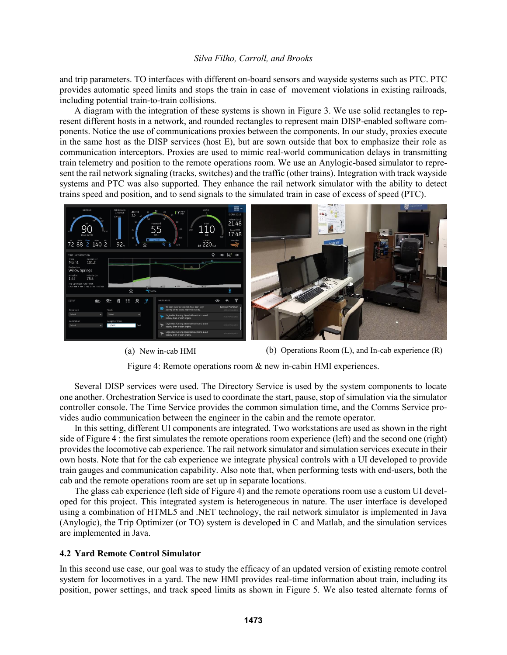and trip parameters. TO interfaces with different on-board sensors and wayside systems such as PTC. PTC provides automatic speed limits and stops the train in case of movement violations in existing railroads, including potential train-to-train collisions.

A diagram with the integration of these systems is shown in Figure 3. We use solid rectangles to represent different hosts in a network, and rounded rectangles to represent main DISP-enabled software components. Notice the use of communications proxies between the components. In our study, proxies execute in the same host as the DISP services (host E), but are sown outside that box to emphasize their role as communication interceptors. Proxies are used to mimic real-world communication delays in transmitting train telemetry and position to the remote operations room. We use an Anylogic-based simulator to represent the rail network signaling (tracks, switches) and the traffic (other trains). Integration with track wayside systems and PTC was also supported. They enhance the rail network simulator with the ability to detect trains speed and position, and to send signals to the simulated train in case of excess of speed (PTC).





(a) New in-cab HMI (b) Operations Room (L), and In-cab experience (R)

Figure 4: Remote operations room & new in-cabin HMI experiences.

Several DISP services were used. The Directory Service is used by the system components to locate one another. Orchestration Service is used to coordinate the start, pause, stop of simulation via the simulator controller console. The Time Service provides the common simulation time, and the Comms Service provides audio communication between the engineer in the cabin and the remote operator.

In this setting, different UI components are integrated. Two workstations are used as shown in the right side of Figure 4 : the first simulates the remote operations room experience (left) and the second one (right) provides the locomotive cab experience. The rail network simulator and simulation services execute in their own hosts. Note that for the cab experience we integrate physical controls with a UI developed to provide train gauges and communication capability. Also note that, when performing tests with end-users, both the cab and the remote operations room are set up in separate locations.

The glass cab experience (left side of Figure 4) and the remote operations room use a custom UI developed for this project. This integrated system is heterogeneous in nature. The user interface is developed using a combination of HTML5 and .NET technology, the rail network simulator is implemented in Java (Anylogic), the Trip Optimizer (or TO) system is developed in C and Matlab, and the simulation services are implemented in Java.

#### **4.2 Yard Remote Control Simulator**

In this second use case, our goal was to study the efficacy of an updated version of existing remote control system for locomotives in a yard. The new HMI provides real-time information about train, including its position, power settings, and track speed limits as shown in Figure 5. We also tested alternate forms of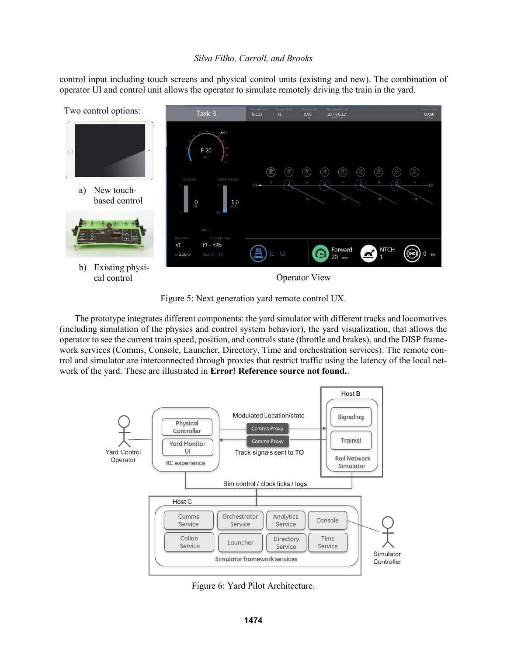control input including touch screens and physical control units (existing and new). The combination of operator UI and control unit allows the operator to simulate remotely driving the train in the yard.



Figure 5: Next generation yard remote control UX.

The prototype integrates different components: the yard simulator with different tracks and locomotives (including simulation of the physics and control system behavior), the yard visualization, that allows the operator to see the current train speed, position, and controls state (throttle and brakes), and the DISP framework services (Comms, Console, Launcher, Directory, Time and orchestration services). The remote control and simulator are interconnected through proxies that restrict traffic using the latency of the local network of the yard. These are illustrated in **Error! Reference source not found.**.



Figure 6: Yard Pilot Architecture.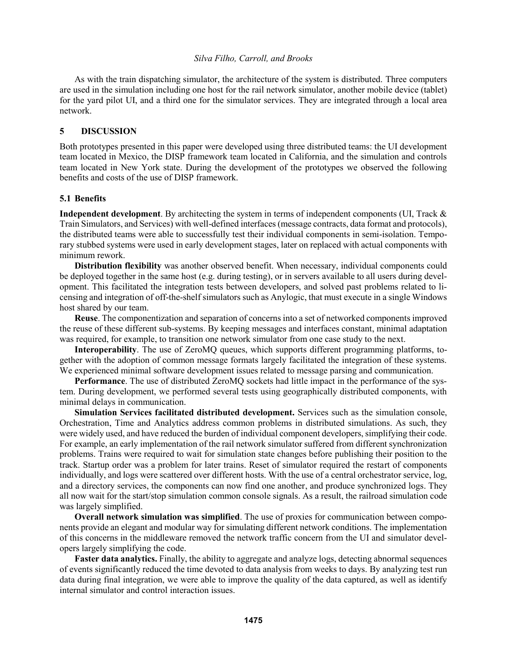As with the train dispatching simulator, the architecture of the system is distributed. Three computers are used in the simulation including one host for the rail network simulator, another mobile device (tablet) for the yard pilot UI, and a third one for the simulator services. They are integrated through a local area network.

#### **5 DISCUSSION**

Both prototypes presented in this paper were developed using three distributed teams: the UI development team located in Mexico, the DISP framework team located in California, and the simulation and controls team located in New York state. During the development of the prototypes we observed the following benefits and costs of the use of DISP framework.

#### **5.1 Benefits**

**Independent development**. By architecting the system in terms of independent components (UI, Track & Train Simulators, and Services) with well-defined interfaces(message contracts, data format and protocols), the distributed teams were able to successfully test their individual components in semi-isolation. Temporary stubbed systems were used in early development stages, later on replaced with actual components with minimum rework.

**Distribution flexibility** was another observed benefit. When necessary, individual components could be deployed together in the same host (e.g. during testing), or in servers available to all users during development. This facilitated the integration tests between developers, and solved past problems related to licensing and integration of off-the-shelf simulators such as Anylogic, that must execute in a single Windows host shared by our team.

**Reuse**. The componentization and separation of concerns into a set of networked components improved the reuse of these different sub-systems. By keeping messages and interfaces constant, minimal adaptation was required, for example, to transition one network simulator from one case study to the next.

**Interoperability**. The use of ZeroMQ queues, which supports different programming platforms, together with the adoption of common message formats largely facilitated the integration of these systems. We experienced minimal software development issues related to message parsing and communication.

**Performance**. The use of distributed ZeroMQ sockets had little impact in the performance of the system. During development, we performed several tests using geographically distributed components, with minimal delays in communication.

**Simulation Services facilitated distributed development.** Services such as the simulation console, Orchestration, Time and Analytics address common problems in distributed simulations. As such, they were widely used, and have reduced the burden of individual component developers, simplifying their code. For example, an early implementation of the rail network simulator suffered from different synchronization problems. Trains were required to wait for simulation state changes before publishing their position to the track. Startup order was a problem for later trains. Reset of simulator required the restart of components individually, and logs were scattered over different hosts. With the use of a central orchestrator service, log, and a directory services, the components can now find one another, and produce synchronized logs. They all now wait for the start/stop simulation common console signals. As a result, the railroad simulation code was largely simplified.

**Overall network simulation was simplified**. The use of proxies for communication between components provide an elegant and modular way for simulating different network conditions. The implementation of this concerns in the middleware removed the network traffic concern from the UI and simulator developers largely simplifying the code.

**Faster data analytics.** Finally, the ability to aggregate and analyze logs, detecting abnormal sequences of events significantly reduced the time devoted to data analysis from weeks to days. By analyzing test run data during final integration, we were able to improve the quality of the data captured, as well as identify internal simulator and control interaction issues.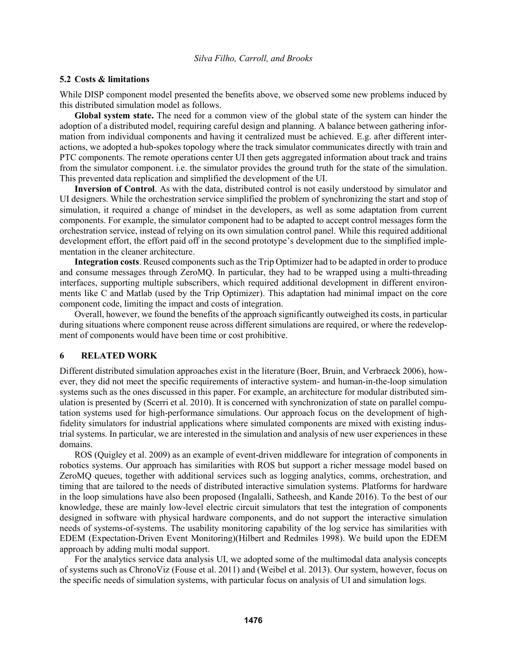#### **5.2 Costs & limitations**

While DISP component model presented the benefits above, we observed some new problems induced by this distributed simulation model as follows.

**Global system state.** The need for a common view of the global state of the system can hinder the adoption of a distributed model, requiring careful design and planning. A balance between gathering information from individual components and having it centralized must be achieved. E.g. after different interactions, we adopted a hub-spokes topology where the track simulator communicates directly with train and PTC components. The remote operations center UI then gets aggregated information about track and trains from the simulator component. i.e. the simulator provides the ground truth for the state of the simulation. This prevented data replication and simplified the development of the UI.

**Inversion of Control**. As with the data, distributed control is not easily understood by simulator and UI designers. While the orchestration service simplified the problem of synchronizing the start and stop of simulation, it required a change of mindset in the developers, as well as some adaptation from current components. For example, the simulator component had to be adapted to accept control messages form the orchestration service, instead of relying on its own simulation control panel. While this required additional development effort, the effort paid off in the second prototype's development due to the simplified implementation in the cleaner architecture.

**Integration costs**. Reused components such as the Trip Optimizer had to be adapted in order to produce and consume messages through ZeroMQ. In particular, they had to be wrapped using a multi-threading interfaces, supporting multiple subscribers, which required additional development in different environments like C and Matlab (used by the Trip Optimizer). This adaptation had minimal impact on the core component code, limiting the impact and costs of integration.

Overall, however, we found the benefits of the approach significantly outweighed its costs, in particular during situations where component reuse across different simulations are required, or where the redevelopment of components would have been time or cost prohibitive.

### **6 RELATED WORK**

Different distributed simulation approaches exist in the literature (Boer, Bruin, and Verbraeck 2006), however, they did not meet the specific requirements of interactive system- and human-in-the-loop simulation systems such as the ones discussed in this paper. For example, an architecture for modular distributed simulation is presented by (Scerri et al. 2010). It is concerned with synchronization of state on parallel computation systems used for high-performance simulations. Our approach focus on the development of highfidelity simulators for industrial applications where simulated components are mixed with existing industrial systems. In particular, we are interested in the simulation and analysis of new user experiences in these domains.

ROS (Quigley et al. 2009) as an example of event-driven middleware for integration of components in robotics systems. Our approach has similarities with ROS but support a richer message model based on ZeroMQ queues, together with additional services such as logging analytics, comms, orchestration, and timing that are tailored to the needs of distributed interactive simulation systems. Platforms for hardware in the loop simulations have also been proposed (Ingalalli, Satheesh, and Kande 2016). To the best of our knowledge, these are mainly low-level electric circuit simulators that test the integration of components designed in software with physical hardware components, and do not support the interactive simulation needs of systems-of-systems. The usability monitoring capability of the log service has similarities with EDEM (Expectation-Driven Event Monitoring)(Hilbert and Redmiles 1998). We build upon the EDEM approach by adding multi modal support.

For the analytics service data analysis UI, we adopted some of the multimodal data analysis concepts of systems such as ChronoViz (Fouse et al. 2011) and (Weibel et al. 2013). Our system, however, focus on the specific needs of simulation systems, with particular focus on analysis of UI and simulation logs.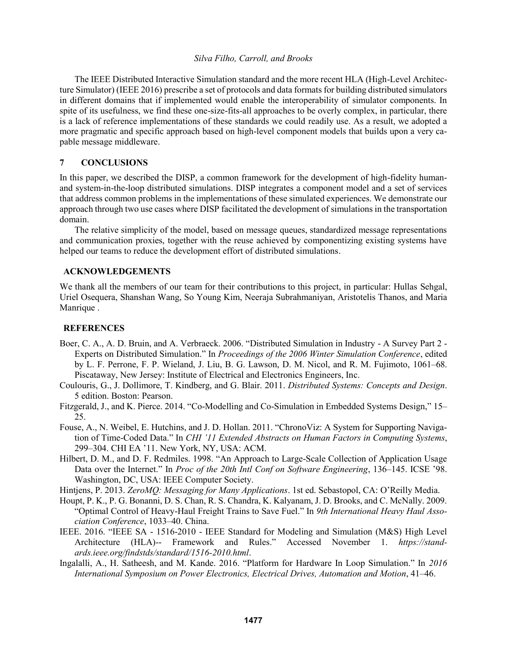The IEEE Distributed Interactive Simulation standard and the more recent HLA (High-Level Architecture Simulator) (IEEE 2016) prescribe a set of protocols and data formats for building distributed simulators in different domains that if implemented would enable the interoperability of simulator components. In spite of its usefulness, we find these one-size-fits-all approaches to be overly complex, in particular, there is a lack of reference implementations of these standards we could readily use. As a result, we adopted a more pragmatic and specific approach based on high-level component models that builds upon a very capable message middleware.

### **7 CONCLUSIONS**

In this paper, we described the DISP, a common framework for the development of high-fidelity humanand system-in-the-loop distributed simulations. DISP integrates a component model and a set of services that address common problems in the implementations of these simulated experiences. We demonstrate our approach through two use cases where DISP facilitated the development of simulations in the transportation domain.

The relative simplicity of the model, based on message queues, standardized message representations and communication proxies, together with the reuse achieved by componentizing existing systems have helped our teams to reduce the development effort of distributed simulations.

## **ACKNOWLEDGEMENTS**

We thank all the members of our team for their contributions to this project, in particular: Hullas Sehgal, Uriel Osequera, Shanshan Wang, So Young Kim, Neeraja Subrahmaniyan, Aristotelis Thanos, and Maria Manrique .

### **REFERENCES**

- Boer, C. A., A. D. Bruin, and A. Verbraeck. 2006. "Distributed Simulation in Industry A Survey Part 2 Experts on Distributed Simulation." In *Proceedings of the 2006 Winter Simulation Conference*, edited by L. F. Perrone, F. P. Wieland, J. Liu, B. G. Lawson, D. M. Nicol, and R. M. Fujimoto, 1061–68. Piscataway, New Jersey: Institute of Electrical and Electronics Engineers, Inc.
- Coulouris, G., J. Dollimore, T. Kindberg, and G. Blair. 2011. *Distributed Systems: Concepts and Design*. 5 edition. Boston: Pearson.
- Fitzgerald, J., and K. Pierce. 2014. "Co-Modelling and Co-Simulation in Embedded Systems Design," 15– 25.
- Fouse, A., N. Weibel, E. Hutchins, and J. D. Hollan. 2011. "ChronoViz: A System for Supporting Navigation of Time-Coded Data." In *CHI '11 Extended Abstracts on Human Factors in Computing Systems*, 299–304. CHI EA '11. New York, NY, USA: ACM.
- Hilbert, D. M., and D. F. Redmiles. 1998. "An Approach to Large-Scale Collection of Application Usage Data over the Internet." In *Proc of the 20th Intl Conf on Software Engineering*, 136–145. ICSE '98. Washington, DC, USA: IEEE Computer Society.

Hintjens, P. 2013. *ZeroMQ: Messaging for Many Applications*. 1st ed. Sebastopol, CA: O'Reilly Media.

- Houpt, P. K., P. G. Bonanni, D. S. Chan, R. S. Chandra, K. Kalyanam, J. D. Brooks, and C. McNally. 2009. "Optimal Control of Heavy-Haul Freight Trains to Save Fuel." In *9th International Heavy Haul Association Conference*, 1033–40. China.
- IEEE. 2016. "IEEE SA 1516-2010 IEEE Standard for Modeling and Simulation (M&S) High Level Architecture (HLA)-- Framework and Rules." Accessed November 1. *https://standards.ieee.org/findstds/standard/1516-2010.html*.
- Ingalalli, A., H. Satheesh, and M. Kande. 2016. "Platform for Hardware In Loop Simulation." In *2016 International Symposium on Power Electronics, Electrical Drives, Automation and Motion*, 41–46.